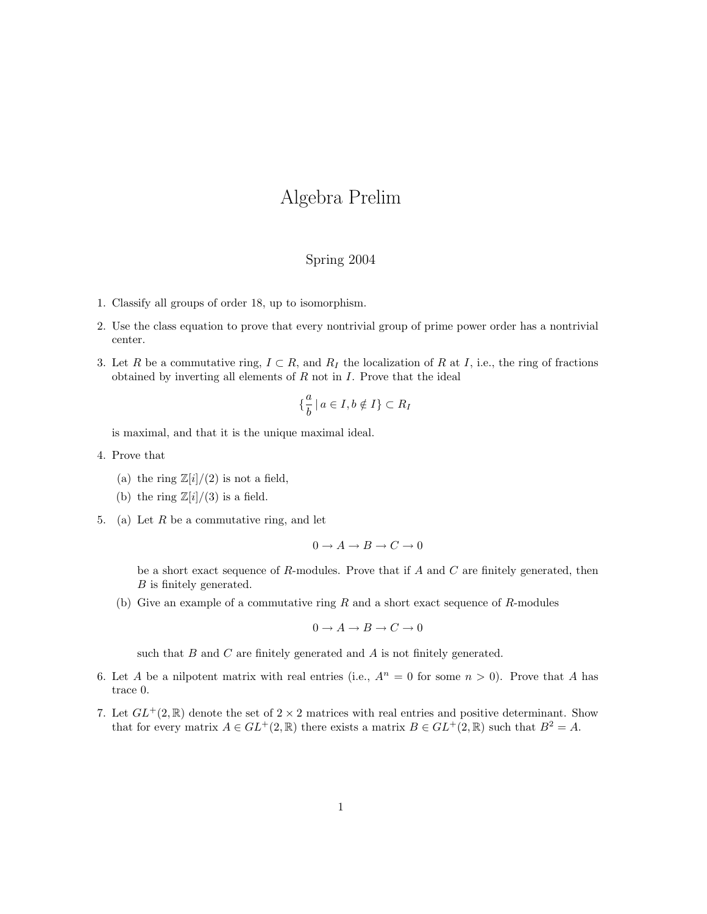## Algebra Prelim

## Spring 2004

- 1. Classify all groups of order 18, up to isomorphism.
- 2. Use the class equation to prove that every nontrivial group of prime power order has a nontrivial center.
- 3. Let R be a commutative ring,  $I \subset R$ , and  $R_I$  the localization of R at I, i.e., the ring of fractions obtained by inverting all elements of  $R$  not in  $I$ . Prove that the ideal

$$
\left\{\frac{a}{b} \mid a \in I, b \notin I\right\} \subset R_I
$$

is maximal, and that it is the unique maximal ideal.

- 4. Prove that
	- (a) the ring  $\mathbb{Z}[i]/(2)$  is not a field,
	- (b) the ring  $\mathbb{Z}[i]/(3)$  is a field.
- 5. (a) Let  $R$  be a commutative ring, and let

$$
0 \to A \to B \to C \to 0
$$

be a short exact sequence of  $R$ -modules. Prove that if  $A$  and  $C$  are finitely generated, then B is finitely generated.

(b) Give an example of a commutative ring  $R$  and a short exact sequence of  $R$ -modules

$$
0 \to A \to B \to C \to 0
$$

such that  $B$  and  $C$  are finitely generated and  $A$  is not finitely generated.

- 6. Let A be a nilpotent matrix with real entries (i.e.,  $A^n = 0$  for some  $n > 0$ ). Prove that A has trace 0.
- 7. Let  $GL^+(2,\mathbb{R})$  denote the set of  $2 \times 2$  matrices with real entries and positive determinant. Show that for every matrix  $A \in GL^+(2,\mathbb{R})$  there exists a matrix  $B \in GL^+(2,\mathbb{R})$  such that  $B^2 = A$ .